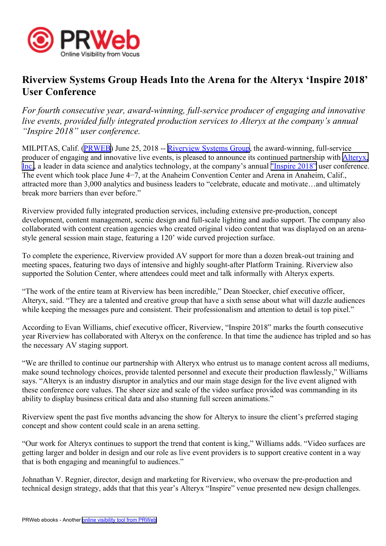

## **Riverview Systems Group Heads Into the Arena for the Alteryx 'Inspire 2018' User Conference**

*For fourth consecutive year, award-winning, full-service producer of engaging and innovative live events, provided fully integrated production services to Alteryx at the company's annual "Inspire 2018" user conference.*

MILPITAS, Calif. [\(PRWEB\)](http://www.prweb.com) June 25, 2018 -- [Riverview](https://www.riverview.com/) Systems Group, the award-winning, full-service producer of engaging and innovative live events, is pleased to announce its continued partnership with [Alteryx,](https://www.alteryx.com/inspire-2018) [Inc.](https://www.alteryx.com/inspire-2018), <sup>a</sup> leader in data science and analytics technology, at the company's annual ["Inspire](https://www.alteryx.com/inspire-2018/) 2018" user conference. The event which took place June 4−7, at the Anaheim Convention Center and Arena in Anaheim, Calif., attracted more than 3,000 analytics and business leaders to "celebrate, educate and motivate…and ultimately break more barriers than ever before."

Riverview provided fully integrated production services, including extensive pre-production, concep<sup>t</sup> development, content management, scenic design and full-scale lighting and audio support. The company also collaborated with content creation agencies who created original video content that was displayed on an arenastyle general session main stage, featuring <sup>a</sup> 120' wide curved projection surface.

To complete the experience, Riverview provided AV suppor<sup>t</sup> for more than <sup>a</sup> dozen break-out training and meeting spaces, featuring two days of intensive and highly sought-after Platform Training. Riverview also supported the Solution Center, where attendees could meet and talk informally with Alteryx experts.

"The work of the entire team at Riverview has been incredible," Dean Stoecker, chief executive officer, Alteryx, said. "They are <sup>a</sup> talented and creative group that have <sup>a</sup> sixth sense about what will dazzle audiences while keeping the messages pure and consistent. Their professionalism and attention to detail is top pixel."

According to Evan Williams, chief executive officer, Riverview, "Inspire 2018" marks the fourth consecutive year Riverview has collaborated with Alteryx on the conference. In that time the audience has tripled and so has the necessary AV staging support.

"We are thrilled to continue our partnership with Alteryx who entrust us to manage content across all mediums, make sound technology choices, provide talented personnel and execute their production flawlessly," Williams says. "Alteryx is an industry disruptor in analytics and our main stage design for the live event aligned with these conference core values. The sheer size and scale of the video surface provided was commanding in its ability to display business critical data and also stunning full screen animations."

Riverview spen<sup>t</sup> the pas<sup>t</sup> five months advancing the show for Alteryx to insure the client's preferred staging concep<sup>t</sup> and show content could scale in an arena setting.

"Our work for Alteryx continues to suppor<sup>t</sup> the trend that content is king," Williams adds. "Video surfaces are getting larger and bolder in design and our role as live event providers is to suppor<sup>t</sup> creative content in <sup>a</sup> way that is both engaging and meaningful to audiences."

Johnathan V. Regnier, director, design and marketing for Riverview, who oversaw the pre-production and technical design strategy, adds that that this year's Alteryx "Inspire" venue presented new design challenges.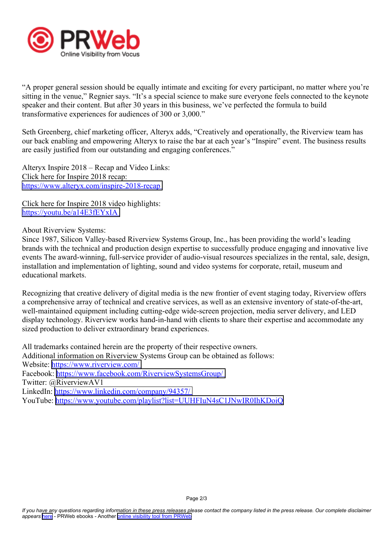

"A proper general session should be equally intimate and exciting for every participant, no matter where you're sitting in the venue," Regnier says. "It's <sup>a</sup> special science to make sure everyone feels connected to the keynote speaker and their content. But after 30 years in this business, we've perfected the formula to build transformative experiences for audiences of 300 or 3,000."

Seth Greenberg, chief marketing officer, Alteryx adds, "Creatively and operationally, the Riverview team has our back enabling and empowering Alteryx to raise the bar at each year's "Inspire" event. The business results are easily justified from our outstanding and engaging conferences."

Alteryx Inspire 2018 – Recap and Video Links: Click here for Inspire 2018 recap: <https://www.alteryx.com/inspire-2018-recap>

Click here for Inspire 2018 video highlights: <https://youtu.be/a14E3fEYxIA>

About Riverview Systems:

Since 1987, Silicon Valley-based Riverview Systems Group, Inc., has been providing the world's leading brands with the technical and production design expertise to successfully produce engaging and innovative live events The award-winning, full-service provider of audio-visual resources specializes in the rental, sale, design, installation and implementation of lighting, sound and video systems for corporate, retail, museum and educational markets.

Recognizing that creative delivery of digital media is the new frontier of event staging today, Riverview offers <sup>a</sup> comprehensive array of technical and creative services, as well as an extensive inventory of state-of-the-art, well-maintained equipment including cutting-edge wide-screen projection, media server delivery, and LED display technology. Riverview works hand-in-hand with clients to share their expertise and accommodate any sized production to deliver extraordinary brand experiences.

All trademarks contained herein are the property of their respective owners. Additional information on Riverview Systems Group can be obtained as follows: Website: <https://www.riverview.com/> Facebook: <https://www.facebook.com/RiverviewSystemsGroup/> Twitter: @RiverviewAV1 LinkedIn: <https://www.linkedin.com/company/94357/> YouTube: <https://www.youtube.com/playlist?list=UUHFIuN4sC1JNwIR0IhKDoiQ>